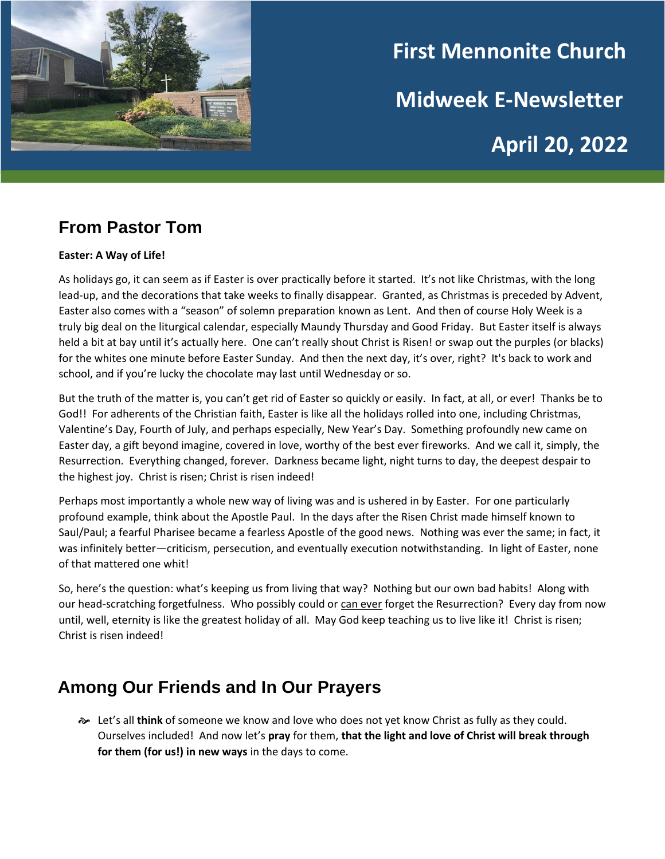

# **First Mennonite Church Midweek E-Newsletter April 20, 2022**

# **From Pastor Tom**

#### **Easter: A Way of Life!**

As holidays go, it can seem as if Easter is over practically before it started. It's not like Christmas, with the long lead-up, and the decorations that take weeks to finally disappear. Granted, as Christmas is preceded by Advent, Easter also comes with a "season" of solemn preparation known as Lent. And then of course Holy Week is a truly big deal on the liturgical calendar, especially Maundy Thursday and Good Friday. But Easter itself is always held a bit at bay until it's actually here. One can't really shout Christ is Risen! or swap out the purples (or blacks) for the whites one minute before Easter Sunday. And then the next day, it's over, right? It's back to work and school, and if you're lucky the chocolate may last until Wednesday or so.

But the truth of the matter is, you can't get rid of Easter so quickly or easily. In fact, at all, or ever! Thanks be to God!! For adherents of the Christian faith, Easter is like all the holidays rolled into one, including Christmas, Valentine's Day, Fourth of July, and perhaps especially, New Year's Day. Something profoundly new came on Easter day, a gift beyond imagine, covered in love, worthy of the best ever fireworks. And we call it, simply, the Resurrection. Everything changed, forever. Darkness became light, night turns to day, the deepest despair to the highest joy. Christ is risen; Christ is risen indeed!

Perhaps most importantly a whole new way of living was and is ushered in by Easter. For one particularly profound example, think about the Apostle Paul. In the days after the Risen Christ made himself known to Saul/Paul; a fearful Pharisee became a fearless Apostle of the good news. Nothing was ever the same; in fact, it was infinitely better—criticism, persecution, and eventually execution notwithstanding. In light of Easter, none of that mattered one whit!

So, here's the question: what's keeping us from living that way? Nothing but our own bad habits! Along with our head-scratching forgetfulness. Who possibly could or can ever forget the Resurrection? Every day from now until, well, eternity is like the greatest holiday of all. May God keep teaching us to live like it! Christ is risen; Christ is risen indeed!

## **Among Our Friends and In Our Prayers**

 Let's all **think** of someone we know and love who does not yet know Christ as fully as they could. Ourselves included! And now let's **pray** for them, **that the light and love of Christ will break through for them (for us!) in new ways** in the days to come.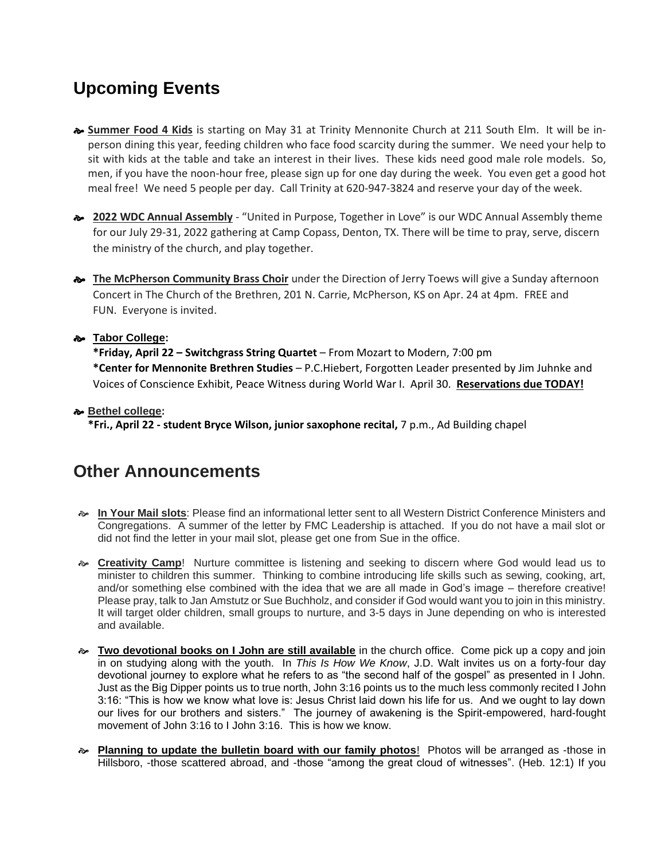## **Upcoming Events**

- **Summer Food 4 Kids** is starting on May 31 at Trinity Mennonite Church at 211 South Elm. It will be inperson dining this year, feeding children who face food scarcity during the summer. We need your help to sit with kids at the table and take an interest in their lives. These kids need good male role models. So, men, if you have the noon-hour free, please sign up for one day during the week. You even get a good hot meal free! We need 5 people per day. Call Trinity at 620-947-3824 and reserve your day of the week.
- **2022 WDC Annual Assembly** "United in Purpose, Together in Love" is our WDC Annual Assembly theme for our July 29-31, 2022 gathering at Camp Copass, Denton, TX. There will be time to pray, serve, discern the ministry of the church, and play together.
- **The McPherson Community Brass Choir** under the Direction of Jerry Toews will give a Sunday afternoon Concert in The Church of the Brethren, 201 N. Carrie, McPherson, KS on Apr. 24 at 4pm. FREE and FUN. Everyone is invited.

### **Tabor College:**

**\*Friday, April 22 – Switchgrass String Quartet** – From Mozart to Modern, 7:00 pm **\*Center for Mennonite Brethren Studies** – P.C.Hiebert, Forgotten Leader presented by Jim Juhnke and Voices of Conscience Exhibit, Peace Witness during World War I. April 30. **Reservations due TODAY!**

### **Bethel college:**

**\*Fri., April 22 - student Bryce Wilson, junior saxophone recital,** 7 p.m., Ad Building chapel

## **Other Announcements**

- **In Your Mail slots**: Please find an informational letter sent to all Western District Conference Ministers and Congregations. A summer of the letter by FMC Leadership is attached. If you do not have a mail slot or did not find the letter in your mail slot, please get one from Sue in the office.
- **Creativity Camp**! Nurture committee is listening and seeking to discern where God would lead us to minister to children this summer. Thinking to combine introducing life skills such as sewing, cooking, art, and/or something else combined with the idea that we are all made in God's image – therefore creative! Please pray, talk to Jan Amstutz or Sue Buchholz, and consider if God would want you to join in this ministry. It will target older children, small groups to nurture, and 3-5 days in June depending on who is interested and available.
- **Two devotional books on I John are still available** in the church office. Come pick up a copy and join in on studying along with the youth. In *This Is How We Know*, J.D. Walt invites us on a forty-four day devotional journey to explore what he refers to as "the second half of the gospel" as presented in I John. Just as the Big Dipper points us to true north, John 3:16 points us to the much less commonly recited I John 3:16: "This is how we know what love is: Jesus Christ laid down his life for us. And we ought to lay down our lives for our brothers and sisters." The journey of awakening is the Spirit-empowered, hard-fought movement of John 3:16 to I John 3:16. This is how we know.
- **Planning to update the bulletin board with our family photos**! Photos will be arranged as -those in Hillsboro, -those scattered abroad, and -those "among the great cloud of witnesses". (Heb. 12:1) If you